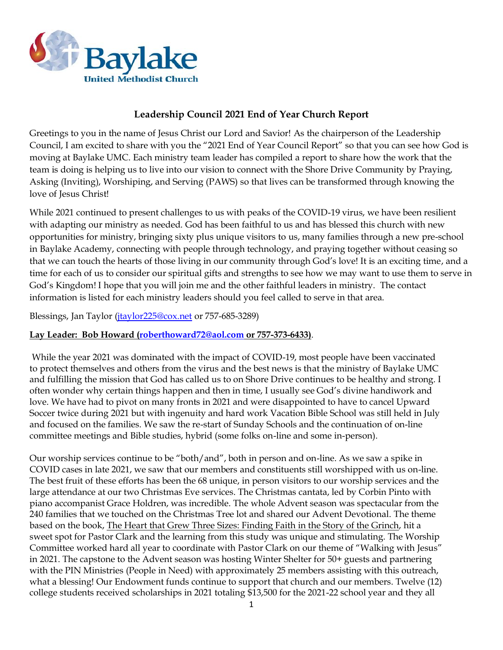

# **Leadership Council 2021 End of Year Church Report**

Greetings to you in the name of Jesus Christ our Lord and Savior! As the chairperson of the Leadership Council, I am excited to share with you the "2021 End of Year Council Report" so that you can see how God is moving at Baylake UMC. Each ministry team leader has compiled a report to share how the work that the team is doing is helping us to live into our vision to connect with the Shore Drive Community by Praying, Asking (Inviting), Worshiping, and Serving (PAWS) so that lives can be transformed through knowing the love of Jesus Christ!

While 2021 continued to present challenges to us with peaks of the COVID-19 virus, we have been resilient with adapting our ministry as needed. God has been faithful to us and has blessed this church with new opportunities for ministry, bringing sixty plus unique visitors to us, many families through a new pre-school in Baylake Academy, connecting with people through technology, and praying together without ceasing so that we can touch the hearts of those living in our community through God's love! It is an exciting time, and a time for each of us to consider our spiritual gifts and strengths to see how we may want to use them to serve in God's Kingdom! I hope that you will join me and the other faithful leaders in ministry. The contact information is listed for each ministry leaders should you feel called to serve in that area.

Blessings, Jan Taylor (*jtaylor* 225@cox.net or 757-685-3289)

## **Lay Leader: Bob Howard [\(roberthoward72@aol.com](mailto:roberthoward72@aol.com) or 757-373-6433)**.

While the year 2021 was dominated with the impact of COVID-19, most people have been vaccinated to protect themselves and others from the virus and the best news is that the ministry of Baylake UMC and fulfilling the mission that God has called us to on Shore Drive continues to be healthy and strong. I often wonder why certain things happen and then in time, I usually see God's divine handiwork and love. We have had to pivot on many fronts in 2021 and were disappointed to have to cancel Upward Soccer twice during 2021 but with ingenuity and hard work Vacation Bible School was still held in July and focused on the families. We saw the re-start of Sunday Schools and the continuation of on-line committee meetings and Bible studies, hybrid (some folks on-line and some in-person).

Our worship services continue to be "both/and", both in person and on-line. As we saw a spike in COVID cases in late 2021, we saw that our members and constituents still worshipped with us on-line. The best fruit of these efforts has been the 68 unique, in person visitors to our worship services and the large attendance at our two Christmas Eve services. The Christmas cantata, led by Corbin Pinto with piano accompanist Grace Holdren, was incredible. The whole Advent season was spectacular from the 240 families that we touched on the Christmas Tree lot and shared our Advent Devotional. The theme based on the book, The Heart that Grew Three Sizes: Finding Faith in the Story of the Grinch, hit a sweet spot for Pastor Clark and the learning from this study was unique and stimulating. The Worship Committee worked hard all year to coordinate with Pastor Clark on our theme of "Walking with Jesus" in 2021. The capstone to the Advent season was hosting Winter Shelter for 50+ guests and partnering with the PIN Ministries (People in Need) with approximately 25 members assisting with this outreach, what a blessing! Our Endowment funds continue to support that church and our members. Twelve (12) college students received scholarships in 2021 totaling \$13,500 for the 2021-22 school year and they all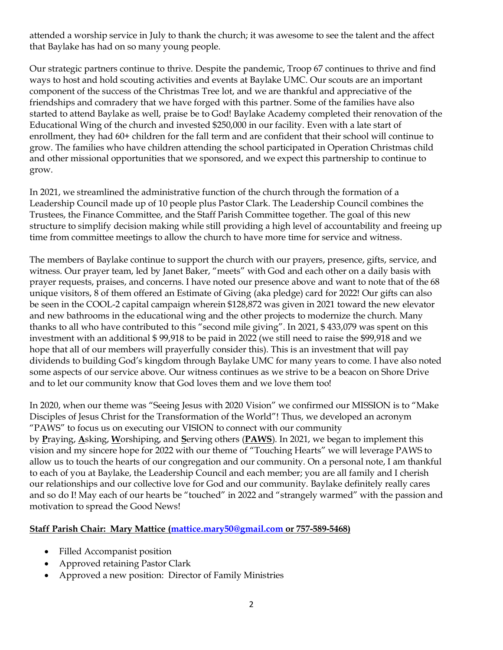attended a worship service in July to thank the church; it was awesome to see the talent and the affect that Baylake has had on so many young people.

Our strategic partners continue to thrive. Despite the pandemic, Troop 67 continues to thrive and find ways to host and hold scouting activities and events at Baylake UMC. Our scouts are an important component of the success of the Christmas Tree lot, and we are thankful and appreciative of the friendships and comradery that we have forged with this partner. Some of the families have also started to attend Baylake as well, praise be to God! Baylake Academy completed their renovation of the Educational Wing of the church and invested \$250,000 in our facility. Even with a late start of enrollment, they had 60+ children for the fall term and are confident that their school will continue to grow. The families who have children attending the school participated in Operation Christmas child and other missional opportunities that we sponsored, and we expect this partnership to continue to grow.

In 2021, we streamlined the administrative function of the church through the formation of a Leadership Council made up of 10 people plus Pastor Clark. The Leadership Council combines the Trustees, the Finance Committee, and the Staff Parish Committee together. The goal of this new structure to simplify decision making while still providing a high level of accountability and freeing up time from committee meetings to allow the church to have more time for service and witness.

The members of Baylake continue to support the church with our prayers, presence, gifts, service, and witness. Our prayer team, led by Janet Baker, "meets" with God and each other on a daily basis with prayer requests, praises, and concerns. I have noted our presence above and want to note that of the 68 unique visitors, 8 of them offered an Estimate of Giving (aka pledge) card for 2022! Our gifts can also be seen in the COOL-2 capital campaign wherein \$128,872 was given in 2021 toward the new elevator and new bathrooms in the educational wing and the other projects to modernize the church. Many thanks to all who have contributed to this "second mile giving". In 2021, \$ 433,079 was spent on this investment with an additional \$ 99,918 to be paid in 2022 (we still need to raise the \$99,918 and we hope that all of our members will prayerfully consider this). This is an investment that will pay dividends to building God's kingdom through Baylake UMC for many years to come. I have also noted some aspects of our service above. Our witness continues as we strive to be a beacon on Shore Drive and to let our community know that God loves them and we love them too!

In 2020, when our theme was "Seeing Jesus with 2020 Vision" we confirmed our MISSION is to "Make Disciples of Jesus Christ for the Transformation of the World"! Thus, we developed an acronym "PAWS" to focus us on executing our VISION to connect with our community by **P**raying, **A**sking, **W**orshiping, and **S**erving others (**PAWS**). In 2021, we began to implement this vision and my sincere hope for 2022 with our theme of "Touching Hearts" we will leverage PAWS to allow us to touch the hearts of our congregation and our community. On a personal note, I am thankful to each of you at Baylake, the Leadership Council and each member; you are all family and I cherish our relationships and our collective love for God and our community. Baylake definitely really cares and so do I! May each of our hearts be "touched" in 2022 and "strangely warmed" with the passion and motivation to spread the Good News!

## **Staff Parish Chair: Mary Mattice [\(mattice.mary50@gmail.com](mailto:mattice.mary50@gmail.com) or 757-589-5468)**

- Filled Accompanist position
- Approved retaining Pastor Clark
- Approved a new position: Director of Family Ministries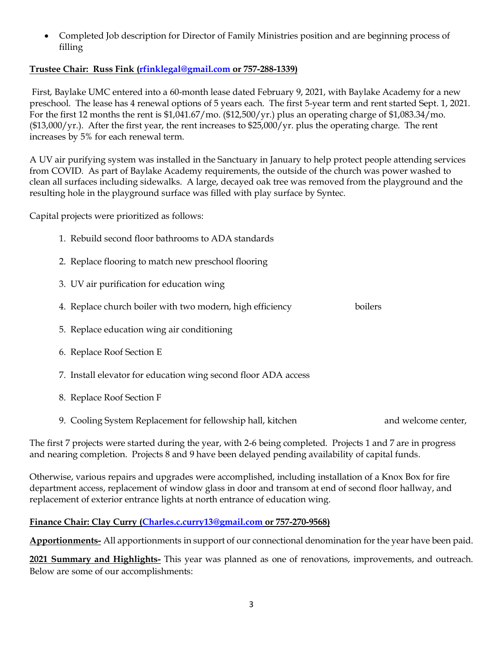• Completed Job description for Director of Family Ministries position and are beginning process of filling

# **Trustee Chair: Russ Fink [\(rfinklegal@gmail.com](mailto:rfinklegal@gmail.com) or 757-288-1339)**

First, Baylake UMC entered into a 60-month lease dated February 9, 2021, with Baylake Academy for a new preschool. The lease has 4 renewal options of 5 years each. The first 5-year term and rent started Sept. 1, 2021. For the first 12 months the rent is  $$1,041.67/mol$ . (\$12,500/yr.) plus an operating charge of \$1,083.34/mo. (\$13,000/yr.). After the first year, the rent increases to \$25,000/yr. plus the operating charge. The rent increases by 5% for each renewal term.

A UV air purifying system was installed in the Sanctuary in January to help protect people attending services from COVID. As part of Baylake Academy requirements, the outside of the church was power washed to clean all surfaces including sidewalks. A large, decayed oak tree was removed from the playground and the resulting hole in the playground surface was filled with play surface by Syntec.

Capital projects were prioritized as follows:

- 1. Rebuild second floor bathrooms to ADA standards
- 2. Replace flooring to match new preschool flooring
- 3. UV air purification for education wing
- 4. Replace church boiler with two modern, high efficiency boilers
- 5. Replace education wing air conditioning
- 6. Replace Roof Section E
- 7. Install elevator for education wing second floor ADA access
- 8. Replace Roof Section F
- 9. Cooling System Replacement for fellowship hall, kitchen and welcome center,

The first 7 projects were started during the year, with 2-6 being completed. Projects 1 and 7 are in progress and nearing completion. Projects 8 and 9 have been delayed pending availability of capital funds.

Otherwise, various repairs and upgrades were accomplished, including installation of a Knox Box for fire department access, replacement of window glass in door and transom at end of second floor hallway, and replacement of exterior entrance lights at north entrance of education wing.

# **Finance Chair: Clay Curry [\(Charles.c.curry13@gmail.com](mailto:Charles.c.curry13@gmail.com) or 757-270-9568)**

**Apportionments-** All apportionments in support of our connectional denomination for the year have been paid.

**2021 Summary and Highlights-** This year was planned as one of renovations, improvements, and outreach. Below are some of our accomplishments: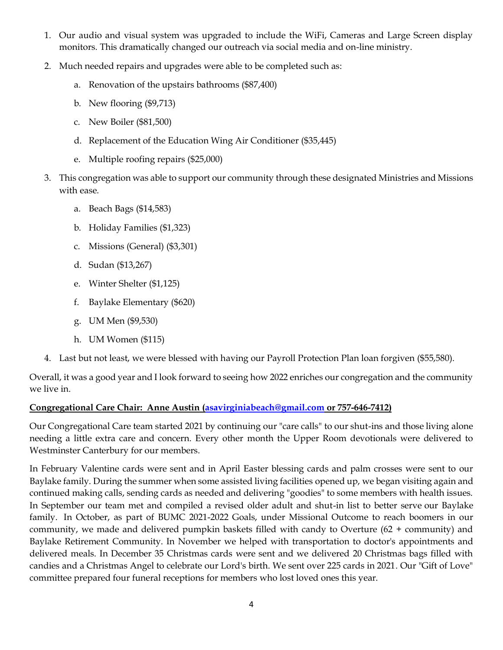- 1. Our audio and visual system was upgraded to include the WiFi, Cameras and Large Screen display monitors. This dramatically changed our outreach via social media and on-line ministry.
- 2. Much needed repairs and upgrades were able to be completed such as:
	- a. Renovation of the upstairs bathrooms (\$87,400)
	- b. New flooring (\$9,713)
	- c. New Boiler (\$81,500)
	- d. Replacement of the Education Wing Air Conditioner (\$35,445)
	- e. Multiple roofing repairs (\$25,000)
- 3. This congregation was able to support our community through these designated Ministries and Missions with ease.
	- a. Beach Bags (\$14,583)
	- b. Holiday Families (\$1,323)
	- c. Missions (General) (\$3,301)
	- d. Sudan (\$13,267)
	- e. Winter Shelter (\$1,125)
	- f. Baylake Elementary (\$620)
	- g. UM Men (\$9,530)
	- h. UM Women (\$115)
- 4. Last but not least, we were blessed with having our Payroll Protection Plan loan forgiven (\$55,580).

Overall, it was a good year and I look forward to seeing how 2022 enriches our congregation and the community we live in.

# **Congregational Care Chair: Anne Austin [\(asavirginiabeach@gmail.com](mailto:asavirginiabeach@gmail.com) or 757-646-7412)**

Our Congregational Care team started 2021 by continuing our "care calls" to our shut-ins and those living alone needing a little extra care and concern. Every other month the Upper Room devotionals were delivered to Westminster Canterbury for our members.

In February Valentine cards were sent and in April Easter blessing cards and palm crosses were sent to our Baylake family. During the summer when some assisted living facilities opened up, we began visiting again and continued making calls, sending cards as needed and delivering "goodies" to some members with health issues. In September our team met and compiled a revised older adult and shut-in list to better serve our Baylake family. In October, as part of BUMC 2021-2022 Goals, under Missional Outcome to reach boomers in our community, we made and delivered pumpkin baskets filled with candy to Overture (62 + community) and Baylake Retirement Community. In November we helped with transportation to doctor's appointments and delivered meals. In December 35 Christmas cards were sent and we delivered 20 Christmas bags filled with candies and a Christmas Angel to celebrate our Lord's birth. We sent over 225 cards in 2021. Our "Gift of Love" committee prepared four funeral receptions for members who lost loved ones this year.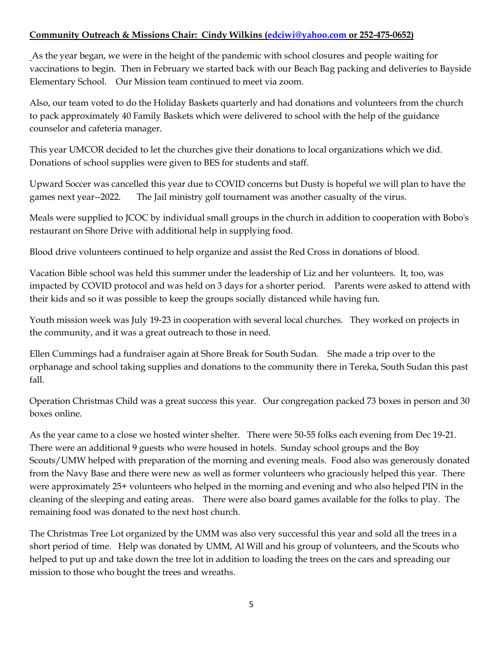## **Community Outreach & Missions Chair: Cindy Wilkins [\(edciwi@yahoo.com](mailto:edciwi@yahoo.com) or 252-475-0652)**

As the year began, we were in the height of the pandemic with school closures and people waiting for vaccinations to begin. Then in February we started back with our Beach Bag packing and deliveries to Bayside Elementary School. Our Mission team continued to meet via zoom.

Also, our team voted to do the Holiday Baskets quarterly and had donations and volunteers from the church to pack approximately 40 Family Baskets which were delivered to school with the help of the guidance counselor and cafeteria manager.

This year UMCOR decided to let the churches give their donations to local organizations which we did. Donations of school supplies were given to BES for students and staff.

Upward Soccer was cancelled this year due to COVID concerns but Dusty is hopeful we will plan to have the games next year--2022. The Jail ministry golf tournament was another casualty of the virus.

Meals were supplied to JCOC by individual small groups in the church in addition to cooperation with Bobo's restaurant on Shore Drive with additional help in supplying food.

Blood drive volunteers continued to help organize and assist the Red Cross in donations of blood.

Vacation Bible school was held this summer under the leadership of Liz and her volunteers. It, too, was impacted by COVID protocol and was held on 3 days for a shorter period. Parents were asked to attend with their kids and so it was possible to keep the groups socially distanced while having fun.

Youth mission week was July 19-23 in cooperation with several local churches. They worked on projects in the community, and it was a great outreach to those in need.

Ellen Cummings had a fundraiser again at Shore Break for South Sudan. She made a trip over to the orphanage and school taking supplies and donations to the community there in Tereka, South Sudan this past fall.

Operation Christmas Child was a great success this year. Our congregation packed 73 boxes in person and 30 boxes online.

As the year came to a close we hosted winter shelter. There were 50-55 folks each evening from Dec 19-21. There were an additional 9 guests who were housed in hotels. Sunday school groups and the Boy Scouts/UMW helped with preparation of the morning and evening meals. Food also was generously donated from the Navy Base and there were new as well as former volunteers who graciously helped this year. There were approximately 25+ volunteers who helped in the morning and evening and who also helped PIN in the cleaning of the sleeping and eating areas. There were also board games available for the folks to play. The remaining food was donated to the next host church.

The Christmas Tree Lot organized by the UMM was also very successful this year and sold all the trees in a short period of time. Help was donated by UMM, Al Will and his group of volunteers, and the Scouts who helped to put up and take down the tree lot in addition to loading the trees on the cars and spreading our mission to those who bought the trees and wreaths.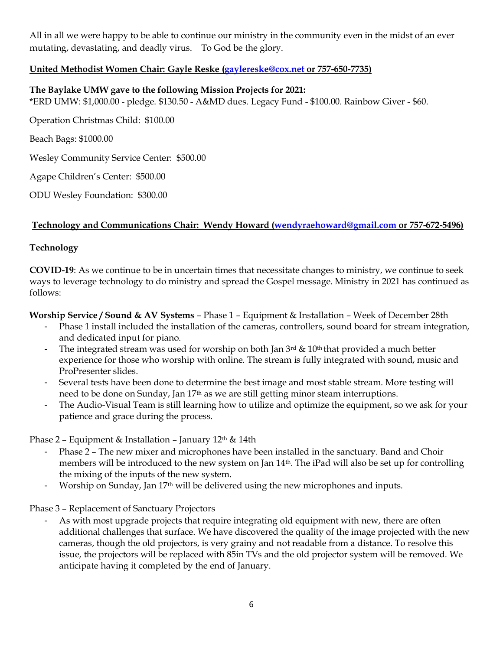All in all we were happy to be able to continue our ministry in the community even in the midst of an ever mutating, devastating, and deadly virus. To God be the glory.

# **United Methodist Women Chair: Gayle Reske [\(gaylereske@cox.net](mailto:gaylereske@cox.net) or 757-650-7735)**

## **The Baylake UMW gave to the following Mission Projects for 2021:**

\*ERD UMW: \$1,000.00 - pledge. \$130.50 - A&MD dues. Legacy Fund - \$100.00. Rainbow Giver - \$60.

Operation Christmas Child: \$100.00

Beach Bags: \$1000.00

Wesley Community Service Center: \$500.00

Agape Children's Center: \$500.00

ODU Wesley Foundation: \$300.00

## **Technology and Communications Chair: Wendy Howard [\(wendyraehoward@gmail.com](mailto:wendyraehoward@gmail.com) or 757-672-5496)**

## **Technology**

**COVID-19**: As we continue to be in uncertain times that necessitate changes to ministry, we continue to seek ways to leverage technology to do ministry and spread the Gospel message. Ministry in 2021 has continued as follows:

**Worship Service / Sound & AV Systems** – Phase 1 – Equipment & Installation – Week of December 28th

- Phase 1 install included the installation of the cameras, controllers, sound board for stream integration, and dedicated input for piano.
- The integrated stream was used for worship on both Jan  $3<sup>rd</sup>$  & 10<sup>th</sup> that provided a much better experience for those who worship with online. The stream is fully integrated with sound, music and ProPresenter slides.
- Several tests have been done to determine the best image and most stable stream. More testing will need to be done on Sunday, Jan 17th as we are still getting minor steam interruptions.
- The Audio-Visual Team is still learning how to utilize and optimize the equipment, so we ask for your patience and grace during the process.

Phase 2 – Equipment & Installation – January  $12<sup>th</sup>$  & 14th

- Phase 2 The new mixer and microphones have been installed in the sanctuary. Band and Choir members will be introduced to the new system on Jan 14th. The iPad will also be set up for controlling the mixing of the inputs of the new system.
- Worship on Sunday, Jan 17<sup>th</sup> will be delivered using the new microphones and inputs.

Phase 3 – Replacement of Sanctuary Projectors

As with most upgrade projects that require integrating old equipment with new, there are often additional challenges that surface. We have discovered the quality of the image projected with the new cameras, though the old projectors, is very grainy and not readable from a distance. To resolve this issue, the projectors will be replaced with 85in TVs and the old projector system will be removed. We anticipate having it completed by the end of January.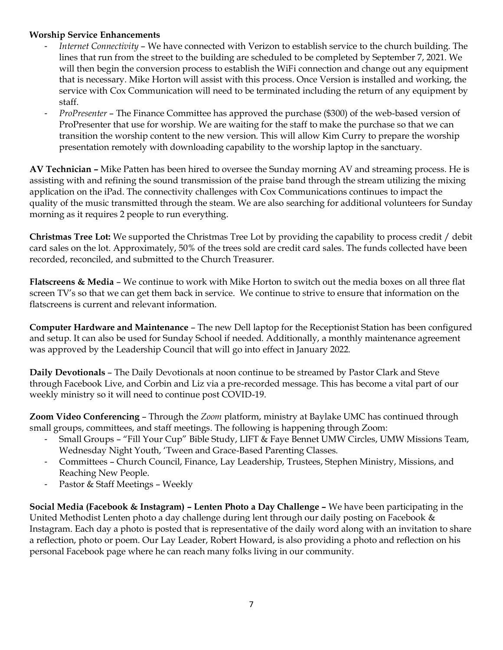## **Worship Service Enhancements**

- *Internet Connectivity* We have connected with Verizon to establish service to the church building. The lines that run from the street to the building are scheduled to be completed by September 7, 2021. We will then begin the conversion process to establish the WiFi connection and change out any equipment that is necessary. Mike Horton will assist with this process. Once Version is installed and working, the service with Cox Communication will need to be terminated including the return of any equipment by staff.
- *ProPresenter* The Finance Committee has approved the purchase (\$300) of the web-based version of ProPresenter that use for worship. We are waiting for the staff to make the purchase so that we can transition the worship content to the new version. This will allow Kim Curry to prepare the worship presentation remotely with downloading capability to the worship laptop in the sanctuary.

**AV Technician –** Mike Patten has been hired to oversee the Sunday morning AV and streaming process. He is assisting with and refining the sound transmission of the praise band through the stream utilizing the mixing application on the iPad. The connectivity challenges with Cox Communications continues to impact the quality of the music transmitted through the steam. We are also searching for additional volunteers for Sunday morning as it requires 2 people to run everything.

**Christmas Tree Lot:** We supported the Christmas Tree Lot by providing the capability to process credit / debit card sales on the lot. Approximately, 50% of the trees sold are credit card sales. The funds collected have been recorded, reconciled, and submitted to the Church Treasurer.

**Flatscreens & Media** – We continue to work with Mike Horton to switch out the media boxes on all three flat screen TV's so that we can get them back in service. We continue to strive to ensure that information on the flatscreens is current and relevant information.

**Computer Hardware and Maintenance** – The new Dell laptop for the Receptionist Station has been configured and setup. It can also be used for Sunday School if needed. Additionally, a monthly maintenance agreement was approved by the Leadership Council that will go into effect in January 2022.

**Daily Devotionals** – The Daily Devotionals at noon continue to be streamed by Pastor Clark and Steve through Facebook Live, and Corbin and Liz via a pre-recorded message. This has become a vital part of our weekly ministry so it will need to continue post COVID-19.

**Zoom Video Conferencing** – Through the *Zoom* platform, ministry at Baylake UMC has continued through small groups, committees, and staff meetings. The following is happening through Zoom:

- Small Groups "Fill Your Cup" Bible Study, LIFT & Faye Bennet UMW Circles, UMW Missions Team, Wednesday Night Youth, 'Tween and Grace-Based Parenting Classes.
- Committees Church Council, Finance, Lay Leadership, Trustees, Stephen Ministry, Missions, and Reaching New People.
- Pastor & Staff Meetings Weekly

**Social Media (Facebook & Instagram) – Lenten Photo a Day Challenge –** We have been participating in the United Methodist Lenten photo a day challenge during lent through our daily posting on Facebook & Instagram. Each day a photo is posted that is representative of the daily word along with an invitation to share a reflection, photo or poem. Our Lay Leader, Robert Howard, is also providing a photo and reflection on his personal Facebook page where he can reach many folks living in our community.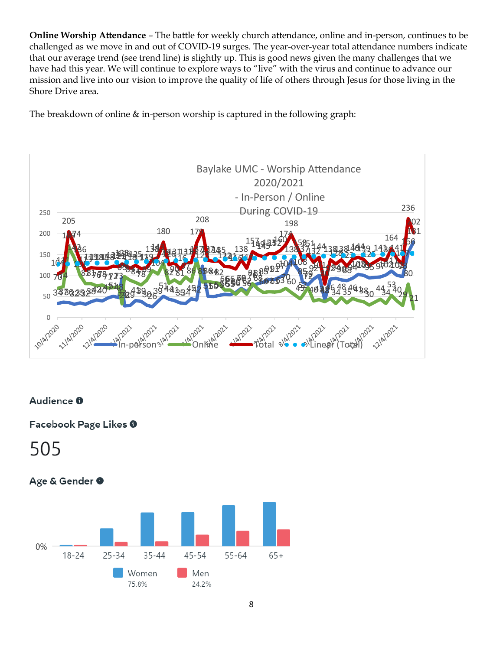**Online Worship Attendance** – The battle for weekly church attendance, online and in-person, continues to be challenged as we move in and out of COVID-19 surges. The year-over-year total attendance numbers indicate that our average trend (see trend line) is slightly up. This is good news given the many challenges that we have had this year. We will continue to explore ways to "live" with the virus and continue to advance our mission and live into our vision to improve the quality of life of others through Jesus for those living in the Shore Drive area.

The breakdown of online & in-person worship is captured in the following graph:



# Audience O

Facebook Page Likes <sup>0</sup>

# Age & Gender 0

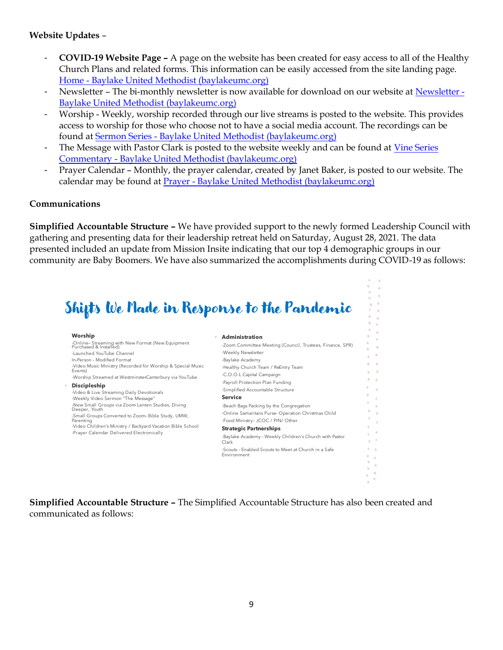## **Website Updates** –

- **COVID-19 Website Page –** A page on the website has been created for easy access to all of the Healthy Church Plans and related forms. This information can be easily accessed from the site landing page. Home - [Baylake United Methodist \(baylakeumc.org\)](https://www.baylakeumc.org/)
- Newsletter The bi-monthly newsletter is now available for download on our website at [Newsletter -](https://www.baylakeumc.org/newsletter/) [Baylake United Methodist \(baylakeumc.org\)](https://www.baylakeumc.org/newsletter/)
- Worship Weekly, worship recorded through our live streams is posted to the website. This provides access to worship for those who choose not to have a social media account. The recordings can be found at Sermon Series - [Baylake United Methodist \(baylakeumc.org\)](https://www.baylakeumc.org/sermon-series/)
- The Message with Pastor Clark is posted to the website weekly and can be found at Vine Series Commentary - [Baylake United Methodist \(baylakeumc.org\)](https://www.baylakeumc.org/vine-series-commentary/)
- Prayer Calendar Monthly, the prayer calendar, created by Janet Baker, is posted to our website. The calendar may be found at Prayer - [Baylake United Methodist \(baylakeumc.org\)](https://www.baylakeumc.org/prayer/)

## **Communications**

**Simplified Accountable Structure –** We have provided support to the newly formed Leadership Council with gathering and presenting data for their leadership retreat held on Saturday, August 28, 2021. The data presented included an update from Mission Insite indicating that our top 4 demographic groups in our community are Baby Boomers. We have also summarized the accomplishments during COVID-19 as follows:

# Shifts We Made in Response to the Pandemic

| Worship                                                                                                                                                                                                                                                                                                                                                    | Administration                                                                                                                                                                                                                                                                                                                                                                                                   |
|------------------------------------------------------------------------------------------------------------------------------------------------------------------------------------------------------------------------------------------------------------------------------------------------------------------------------------------------------------|------------------------------------------------------------------------------------------------------------------------------------------------------------------------------------------------------------------------------------------------------------------------------------------------------------------------------------------------------------------------------------------------------------------|
| -Online-Streaming with New Format (New Equipment<br>Purchased & Installed)                                                                                                                                                                                                                                                                                 | -Zoom Committee Meeting (Council, Trustees, Finance, SPR)                                                                                                                                                                                                                                                                                                                                                        |
| -Launched YouTube Channel                                                                                                                                                                                                                                                                                                                                  | -Weekly Newsletter                                                                                                                                                                                                                                                                                                                                                                                               |
| In-Person - Modified Format                                                                                                                                                                                                                                                                                                                                | -Baylake Academy                                                                                                                                                                                                                                                                                                                                                                                                 |
| -Video Music Ministry (Recorded for Worship & Special Music<br>Events)                                                                                                                                                                                                                                                                                     | -Healthy Church Team / ReEntry Team                                                                                                                                                                                                                                                                                                                                                                              |
| -Worship Streamed at WestminsterCanterbury via YouTube                                                                                                                                                                                                                                                                                                     | -C.O.O.L Capital Campaign                                                                                                                                                                                                                                                                                                                                                                                        |
| <b>Discipleship</b><br>-Video & Live Streaming Daily Devotionals<br>-Weekly Video Sermon "The Message"<br>-New Small Groups via Zoom Lenten Studies, Diving<br>Deeper, Youth<br>-Small Groups Converted to Zoom-Bible Study, UMW,<br>Parenting<br>-Video Children's Ministry / Backyard Vacation Bible School<br>-Prayer Calendar Delivered Electronically | -Payroll Protection Plan Funding<br>-Simplified Accountable Structure<br><b>Service</b><br>-Beach Bags Packing by the Congregation<br>-Online Samaritans Purse-Operation Christmas Child<br>-Food Ministry- JCOC / PIN/ Other<br><b>Strategic Partnerships</b><br>-Baylake Academy - Weekly Children's Church with Pastor<br>Clark<br>-Scouts - Enabled Scouts to Meet at Church in a Safe<br><b>Fnvironment</b> |
|                                                                                                                                                                                                                                                                                                                                                            |                                                                                                                                                                                                                                                                                                                                                                                                                  |

**Simplified Accountable Structure –** The Simplified Accountable Structure has also been created and communicated as follows: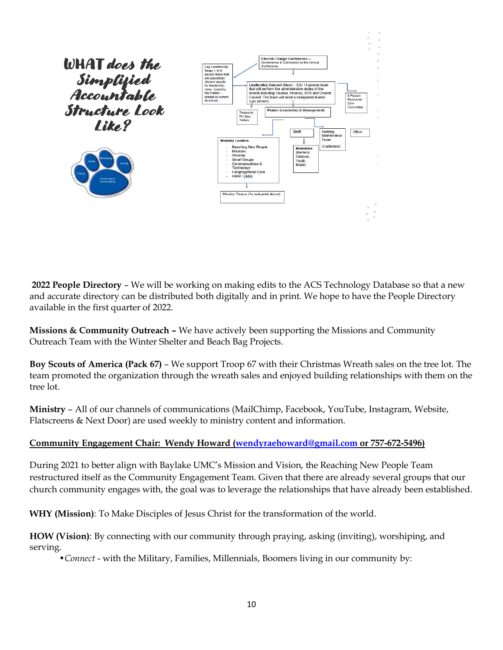

**2022 People Directory** – We will be working on making edits to the ACS Technology Database so that a new and accurate directory can be distributed both digitally and in print. We hope to have the People Directory available in the first quarter of 2022.

**Missions & Community Outreach –** We have actively been supporting the Missions and Community Outreach Team with the Winter Shelter and Beach Bag Projects.

**Boy Scouts of America (Pack 67)** – We support Troop 67 with their Christmas Wreath sales on the tree lot. The team promoted the organization through the wreath sales and enjoyed building relationships with them on the tree lot.

**Ministry** – All of our channels of communications (MailChimp, Facebook, YouTube, Instagram, Website, Flatscreens & Next Door) are used weekly to ministry content and information.

# **Community Engagement Chair: Wendy Howard [\(wendyraehoward@gmail.com](mailto:wendyraehoward@gmail.com) or 757-672-5496)**

During 2021 to better align with Baylake UMC's Mission and Vision, the Reaching New People Team restructured itself as the Community Engagement Team. Given that there are already several groups that our church community engages with, the goal was to leverage the relationships that have already been established.

**WHY (Mission)**: To Make Disciples of Jesus Christ for the transformation of the world.

**HOW (Vision)**: By connecting with our community through praying, asking (inviting), worshiping, and serving.

•*Connect* - with the Military, Families, Millennials, Boomers living in our community by: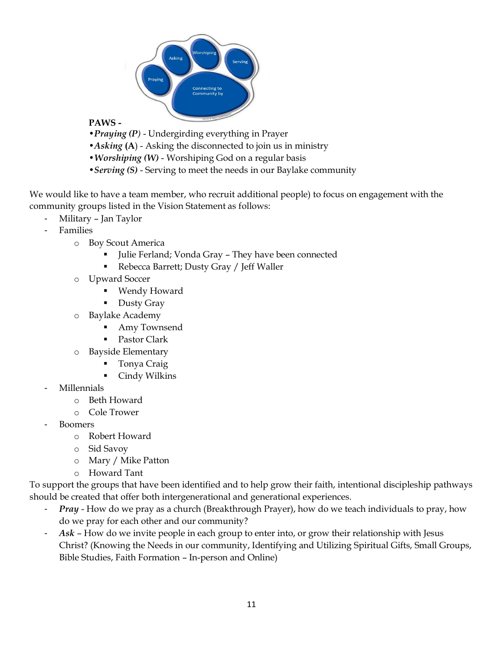

# **PAWS -**

- •*Praying (P)* Undergirding everything in Prayer
- •*Asking* **(A**) Asking the disconnected to join us in ministry
- •*Worshiping (W)* Worshiping God on a regular basis
- •*Serving (S)* Serving to meet the needs in our Baylake community

We would like to have a team member, who recruit additional people) to focus on engagement with the community groups listed in the Vision Statement as follows:

- Military Jan Taylor
- Families
	- o Boy Scout America
		- Julie Ferland; Vonda Gray They have been connected
		- Rebecca Barrett; Dusty Gray / Jeff Waller
	- o Upward Soccer
		- Wendy Howard
		- Dusty Gray
	- o Baylake Academy
		- Amy Townsend
		- Pastor Clark
	- o Bayside Elementary
		- Tonya Craig
		- Cindy Wilkins
- Millennials
	- o Beth Howard
	- o Cole Trower
- Boomers
	- o Robert Howard
	- o Sid Savoy
	- o Mary / Mike Patton
	- o Howard Tant

To support the groups that have been identified and to help grow their faith, intentional discipleship pathways should be created that offer both intergenerational and generational experiences.

- *Pray* How do we pray as a church (Breakthrough Prayer), how do we teach individuals to pray, how do we pray for each other and our community?
- *Ask* How do we invite people in each group to enter into, or grow their relationship with Jesus Christ? (Knowing the Needs in our community, Identifying and Utilizing Spiritual Gifts, Small Groups, Bible Studies, Faith Formation – In-person and Online)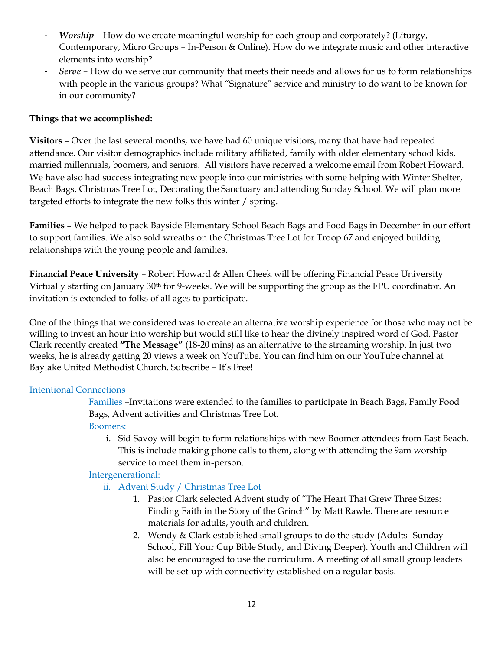- *Worship* How do we create meaningful worship for each group and corporately? (Liturgy, Contemporary, Micro Groups – In-Person & Online). How do we integrate music and other interactive elements into worship?
- *Serve* How do we serve our community that meets their needs and allows for us to form relationships with people in the various groups? What "Signature" service and ministry to do want to be known for in our community?

# **Things that we accomplished:**

**Visitors** – Over the last several months, we have had 60 unique visitors, many that have had repeated attendance. Our visitor demographics include military affiliated, family with older elementary school kids, married millennials, boomers, and seniors. All visitors have received a welcome email from Robert Howard. We have also had success integrating new people into our ministries with some helping with Winter Shelter, Beach Bags, Christmas Tree Lot, Decorating the Sanctuary and attending Sunday School. We will plan more targeted efforts to integrate the new folks this winter / spring.

**Families** – We helped to pack Bayside Elementary School Beach Bags and Food Bags in December in our effort to support families. We also sold wreaths on the Christmas Tree Lot for Troop 67 and enjoyed building relationships with the young people and families.

**Financial Peace University** – Robert Howard & Allen Cheek will be offering Financial Peace University Virtually starting on January 30<sup>th</sup> for 9-weeks. We will be supporting the group as the FPU coordinator. An invitation is extended to folks of all ages to participate.

One of the things that we considered was to create an alternative worship experience for those who may not be willing to invest an hour into worship but would still like to hear the divinely inspired word of God. Pastor Clark recently created **"The Message"** (18-20 mins) as an alternative to the streaming worship. In just two weeks, he is already getting 20 views a week on YouTube. You can find him on our YouTube channel at Baylake United Methodist Church. Subscribe – It's Free!

# Intentional Connections

Families –Invitations were extended to the families to participate in Beach Bags, Family Food Bags, Advent activities and Christmas Tree Lot. Boomers:

i. Sid Savoy will begin to form relationships with new Boomer attendees from East Beach. This is include making phone calls to them, along with attending the 9am worship service to meet them in-person.

## Intergenerational:

- ii. Advent Study / Christmas Tree Lot
	- 1. Pastor Clark selected Advent study of "The Heart That Grew Three Sizes: Finding Faith in the Story of the Grinch" by Matt Rawle. There are resource materials for adults, youth and children.
	- 2. Wendy & Clark established small groups to do the study (Adults- Sunday School, Fill Your Cup Bible Study, and Diving Deeper). Youth and Children will also be encouraged to use the curriculum. A meeting of all small group leaders will be set-up with connectivity established on a regular basis.